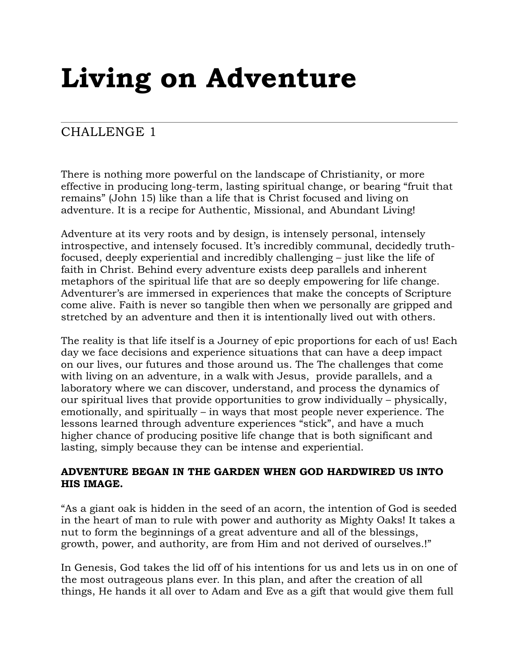# **Living on Adventure**

# CHALLENGE 1

There is nothing more powerful on the landscape of Christianity, or more effective in producing long-term, lasting spiritual change, or bearing "fruit that remains" (John 15) like than a life that is Christ focused and living on adventure. It is a recipe for Authentic, Missional, and Abundant Living!

Adventure at its very roots and by design, is intensely personal, intensely introspective, and intensely focused. It's incredibly communal, decidedly truthfocused, deeply experiential and incredibly challenging – just like the life of faith in Christ. Behind every adventure exists deep parallels and inherent metaphors of the spiritual life that are so deeply empowering for life change. Adventurer's are immersed in experiences that make the concepts of Scripture come alive. Faith is never so tangible then when we personally are gripped and stretched by an adventure and then it is intentionally lived out with others.

The reality is that life itself is a Journey of epic proportions for each of us! Each day we face decisions and experience situations that can have a deep impact on our lives, our futures and those around us. The The challenges that come with living on an adventure, in a walk with Jesus, provide parallels, and a laboratory where we can discover, understand, and process the dynamics of our spiritual lives that provide opportunities to grow individually – physically, emotionally, and spiritually – in ways that most people never experience. The lessons learned through adventure experiences "stick", and have a much higher chance of producing positive life change that is both significant and lasting, simply because they can be intense and experiential.

## **ADVENTURE BEGAN IN THE GARDEN WHEN GOD HARDWIRED US INTO HIS IMAGE.**

"As a giant oak is hidden in the seed of an acorn, the intention of God is seeded in the heart of man to rule with power and authority as Mighty Oaks! It takes a nut to form the beginnings of a great adventure and all of the blessings, growth, power, and authority, are from Him and not derived of ourselves.!"

In Genesis, God takes the lid off of his intentions for us and lets us in on one of the most outrageous plans ever. In this plan, and after the creation of all things, He hands it all over to Adam and Eve as a gift that would give them full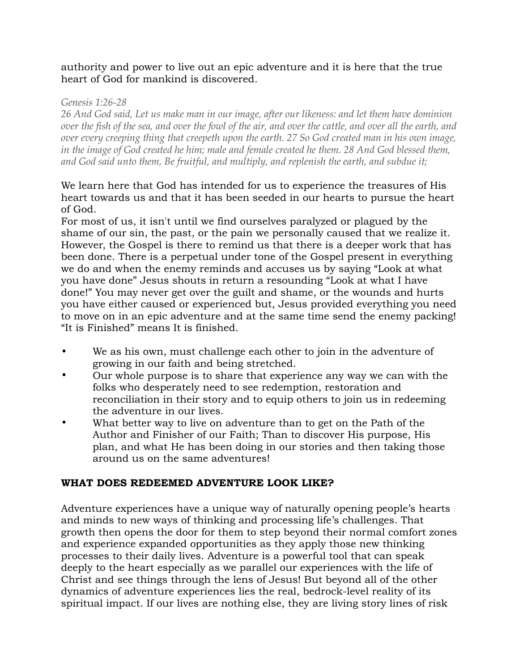## authority and power to live out an epic adventure and it is here that the true heart of God for mankind is discovered.

#### *Genesis 1:26-28*

*26 And God said, Let us make man in our image, after our likeness: and let them have dominion over the fish of the sea, and over the fowl of the air, and over the cattle, and over all the earth, and over every creeping thing that creepeth upon the earth. 27 So God created man in his own image, in the image of God created he him; male and female created he them. 28 And God blessed them, and God said unto them, Be fruitful, and multiply, and replenish the earth, and subdue it;*

## We learn here that God has intended for us to experience the treasures of His heart towards us and that it has been seeded in our hearts to pursue the heart of God.

For most of us, it isn't until we find ourselves paralyzed or plagued by the shame of our sin, the past, or the pain we personally caused that we realize it. However, the Gospel is there to remind us that there is a deeper work that has been done. There is a perpetual under tone of the Gospel present in everything we do and when the enemy reminds and accuses us by saying "Look at what you have done" Jesus shouts in return a resounding "Look at what I have done!" You may never get over the guilt and shame, or the wounds and hurts you have either caused or experienced but, Jesus provided everything you need to move on in an epic adventure and at the same time send the enemy packing! "It is Finished" means It is finished.

- We as his own, must challenge each other to join in the adventure of growing in our faith and being stretched.
- Our whole purpose is to share that experience any way we can with the folks who desperately need to see redemption, restoration and reconciliation in their story and to equip others to join us in redeeming the adventure in our lives.
- What better way to live on adventure than to get on the Path of the Author and Finisher of our Faith; Than to discover His purpose, His plan, and what He has been doing in our stories and then taking those around us on the same adventures!

## **WHAT DOES REDEEMED ADVENTURE LOOK LIKE?**

Adventure experiences have a unique way of naturally opening people's hearts and minds to new ways of thinking and processing life's challenges. That growth then opens the door for them to step beyond their normal comfort zones and experience expanded opportunities as they apply those new thinking processes to their daily lives. Adventure is a powerful tool that can speak deeply to the heart especially as we parallel our experiences with the life of Christ and see things through the lens of Jesus! But beyond all of the other dynamics of adventure experiences lies the real, bedrock-level reality of its spiritual impact. If our lives are nothing else, they are living story lines of risk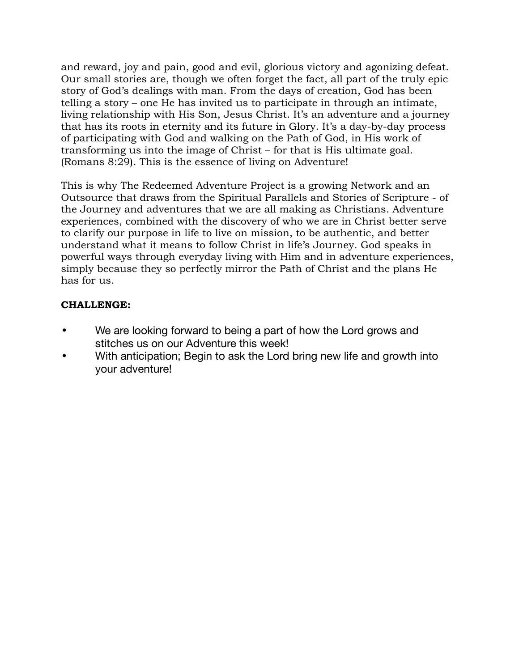and reward, joy and pain, good and evil, glorious victory and agonizing defeat. Our small stories are, though we often forget the fact, all part of the truly epic story of God's dealings with man. From the days of creation, God has been telling a story – one He has invited us to participate in through an intimate, living relationship with His Son, Jesus Christ. It's an adventure and a journey that has its roots in eternity and its future in Glory. It's a day-by-day process of participating with God and walking on the Path of God, in His work of transforming us into the image of Christ – for that is His ultimate goal. (Romans 8:29). This is the essence of living on Adventure!

This is why The Redeemed Adventure Project is a growing Network and an Outsource that draws from the Spiritual Parallels and Stories of Scripture - of the Journey and adventures that we are all making as Christians. Adventure experiences, combined with the discovery of who we are in Christ better serve to clarify our purpose in life to live on mission, to be authentic, and better understand what it means to follow Christ in life's Journey. God speaks in powerful ways through everyday living with Him and in adventure experiences, simply because they so perfectly mirror the Path of Christ and the plans He has for us.

- We are looking forward to being a part of how the Lord grows and stitches us on our Adventure this week!
- With anticipation; Begin to ask the Lord bring new life and growth into your adventure!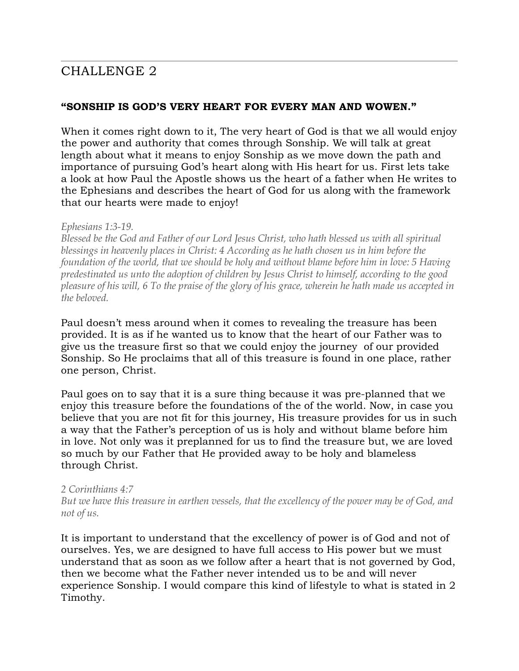# CHALLENGE 2

#### **"SONSHIP IS GOD'S VERY HEART FOR EVERY MAN AND WOWEN."**

When it comes right down to it, The very heart of God is that we all would enjoy the power and authority that comes through Sonship. We will talk at great length about what it means to enjoy Sonship as we move down the path and importance of pursuing God's heart along with His heart for us. First lets take a look at how Paul the Apostle shows us the heart of a father when He writes to the Ephesians and describes the heart of God for us along with the framework that our hearts were made to enjoy!

#### *Ephesians 1:3-19.*

*Blessed be the God and Father of our Lord Jesus Christ, who hath blessed us with all spiritual blessings in heavenly places in Christ: 4 According as he hath chosen us in him before the foundation of the world, that we should be holy and without blame before him in love: 5 Having predestinated us unto the adoption of children by Jesus Christ to himself, according to the good pleasure of his will, 6 To the praise of the glory of his grace, wherein he hath made us accepted in the beloved.*

Paul doesn't mess around when it comes to revealing the treasure has been provided. It is as if he wanted us to know that the heart of our Father was to give us the treasure first so that we could enjoy the journey of our provided Sonship. So He proclaims that all of this treasure is found in one place, rather one person, Christ.

Paul goes on to say that it is a sure thing because it was pre-planned that we enjoy this treasure before the foundations of the of the world. Now, in case you believe that you are not fit for this journey, His treasure provides for us in such a way that the Father's perception of us is holy and without blame before him in love. Not only was it preplanned for us to find the treasure but, we are loved so much by our Father that He provided away to be holy and blameless through Christ.

#### *2 Corinthians 4:7*

*But we have this treasure in earthen vessels, that the excellency of the power may be of God, and not of us.*

It is important to understand that the excellency of power is of God and not of ourselves. Yes, we are designed to have full access to His power but we must understand that as soon as we follow after a heart that is not governed by God, then we become what the Father never intended us to be and will never experience Sonship. I would compare this kind of lifestyle to what is stated in 2 Timothy.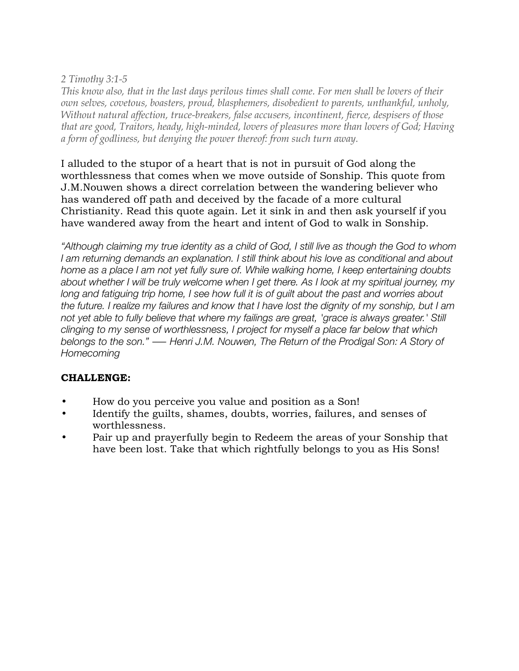# *2 Timothy 3:1-5*

*This know also, that in the last days perilous times shall come. For men shall be lovers of their own selves, covetous, boasters, proud, blasphemers, disobedient to parents, unthankful, unholy, Without natural affection, truce-breakers, false accusers, incontinent, fierce, despisers of those that are good, Traitors, heady, high-minded, lovers of pleasures more than lovers of God; Having a form of godliness, but denying the power thereof: from such turn away.*

I alluded to the stupor of a heart that is not in pursuit of God along the worthlessness that comes when we move outside of Sonship. This quote from J.M.Nouwen shows a direct correlation between the wandering believer who has wandered off path and deceived by the facade of a more cultural Christianity. Read this quote again. Let it sink in and then ask yourself if you have wandered away from the heart and intent of God to walk in Sonship.

*"Although claiming my true identity as a child of God, I still live as though the God to whom I am returning demands an explanation. I still think about his love as conditional and about home as a place I am not yet fully sure of. While walking home, I keep entertaining doubts about whether I will be truly welcome when I get there. As I look at my spiritual journey, my long and fatiguing trip home, I see how full it is of guilt about the past and worries about the future. I realize my failures and know that I have lost the dignity of my sonship, but I am not yet able to fully believe that where my failings are great, 'grace is always greater.' Still clinging to my sense of worthlessness, I project for myself a place far below that which belongs to the son." ― Henri J.M. Nouwen, The Return of the Prodigal Son: A Story of Homecoming*

- How do you perceive you value and position as a Son!
- Identify the guilts, shames, doubts, worries, failures, and senses of worthlessness.
- Pair up and prayerfully begin to Redeem the areas of your Sonship that have been lost. Take that which rightfully belongs to you as His Sons!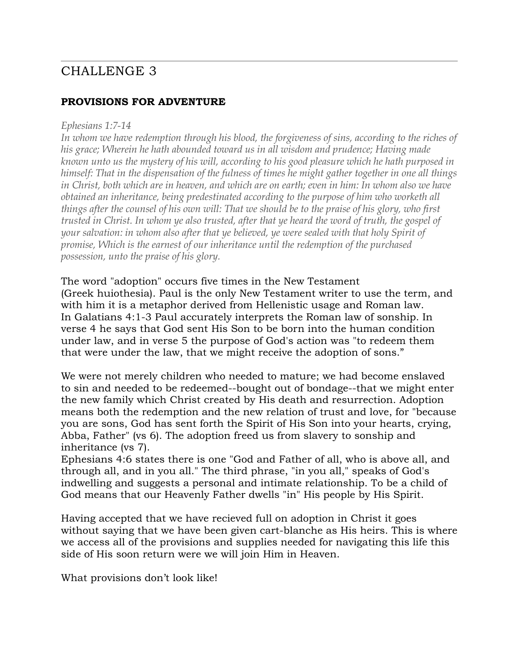# CHALLENGE 3

# **PROVISIONS FOR ADVENTURE**

#### *Ephesians 1:7-14*

*In whom we have redemption through his blood, the forgiveness of sins, according to the riches of his grace; Wherein he hath abounded toward us in all wisdom and prudence; Having made known unto us the mystery of his will, according to his good pleasure which he hath purposed in himself: That in the dispensation of the fulness of times he might gather together in one all things in Christ, both which are in heaven, and which are on earth; even in him: In whom also we have obtained an inheritance, being predestinated according to the purpose of him who worketh all things after the counsel of his own will: That we should be to the praise of his glory, who first trusted in Christ. In whom ye also trusted, after that ye heard the word of truth, the gospel of your salvation: in whom also after that ye believed, ye were sealed with that holy Spirit of promise, Which is the earnest of our inheritance until the redemption of the purchased possession, unto the praise of his glory.*

The word "adoption" occurs five times in the New Testament (Greek huiothesia). Paul is the only New Testament writer to use the term, and with him it is a metaphor derived from Hellenistic usage and Roman law. In Galatians 4:1-3 Paul accurately interprets the Roman law of sonship. In verse 4 he says that God sent His Son to be born into the human condition under law, and in verse 5 the purpose of God's action was "to redeem them that were under the law, that we might receive the adoption of sons."

We were not merely children who needed to mature; we had become enslaved to sin and needed to be redeemed--bought out of bondage--that we might enter the new family which Christ created by His death and resurrection. Adoption means both the redemption and the new relation of trust and love, for "because you are sons, God has sent forth the Spirit of His Son into your hearts, crying, Abba, Father" (vs 6). The adoption freed us from slavery to sonship and inheritance (vs 7).

Ephesians 4:6 states there is one "God and Father of all, who is above all, and through all, and in you all." The third phrase, "in you all," speaks of God's indwelling and suggests a personal and intimate relationship. To be a child of God means that our Heavenly Father dwells "in" His people by His Spirit.

Having accepted that we have recieved full on adoption in Christ it goes without saying that we have been given cart-blanche as His heirs. This is where we access all of the provisions and supplies needed for navigating this life this side of His soon return were we will join Him in Heaven.

What provisions don't look like!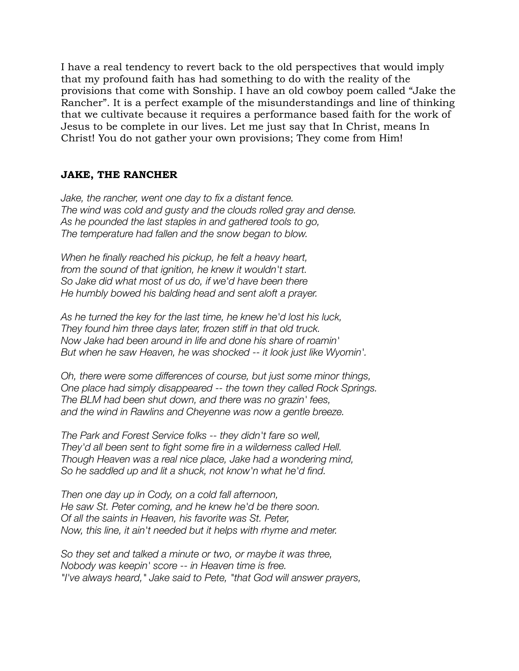I have a real tendency to revert back to the old perspectives that would imply that my profound faith has had something to do with the reality of the provisions that come with Sonship. I have an old cowboy poem called "Jake the Rancher". It is a perfect example of the misunderstandings and line of thinking that we cultivate because it requires a performance based faith for the work of Jesus to be complete in our lives. Let me just say that In Christ, means In Christ! You do not gather your own provisions; They come from Him!

## **JAKE, THE RANCHER**

*Jake, the rancher, went one day to fix a distant fence. The wind was cold and gusty and the clouds rolled gray and dense. As he pounded the last staples in and gathered tools to go, The temperature had fallen and the snow began to blow.* 

*When he finally reached his pickup, he felt a heavy heart, from the sound of that ignition, he knew it wouldn't start. So Jake did what most of us do, if we'd have been there He humbly bowed his balding head and sent aloft a prayer.* 

*As he turned the key for the last time, he knew he'd lost his luck, They found him three days later, frozen stiff in that old truck. Now Jake had been around in life and done his share of roamin' But when he saw Heaven, he was shocked -- it look just like Wyomin'.* 

*Oh, there were some differences of course, but just some minor things, One place had simply disappeared -- the town they called Rock Springs. The BLM had been shut down, and there was no grazin' fees, and the wind in Rawlins and Cheyenne was now a gentle breeze.*

*The Park and Forest Service folks -- they didn't fare so well, They'd all been sent to fight some fire in a wilderness called Hell. Though Heaven was a real nice place, Jake had a wondering mind, So he saddled up and lit a shuck, not know'n what he'd find.* 

*Then one day up in Cody, on a cold fall afternoon, He saw St. Peter coming, and he knew he'd be there soon. Of all the saints in Heaven, his favorite was St. Peter, Now, this line, it ain't needed but it helps with rhyme and meter.* 

*So they set and talked a minute or two, or maybe it was three, Nobody was keepin' score -- in Heaven time is free. "I've always heard," Jake said to Pete, "that God will answer prayers,*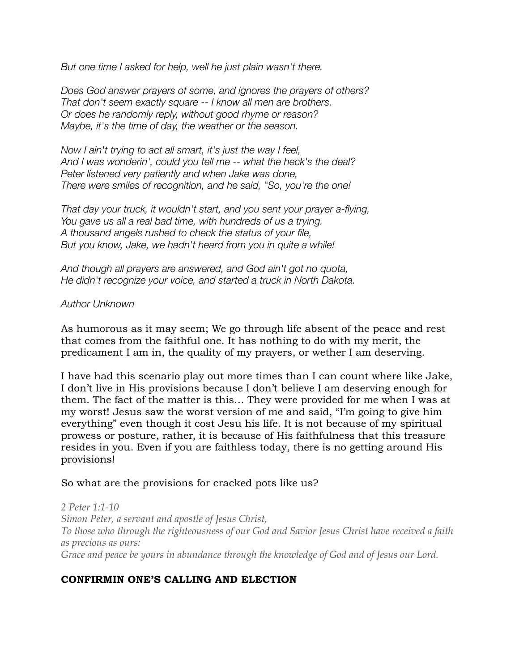*But one time I asked for help, well he just plain wasn't there.* 

*Does God answer prayers of some, and ignores the prayers of others? That don't seem exactly square -- I know all men are brothers. Or does he randomly reply, without good rhyme or reason? Maybe, it's the time of day, the weather or the season.* 

*Now I ain't trying to act all smart, it's just the way I feel, And I was wonderin', could you tell me -- what the heck's the deal? Peter listened very patiently and when Jake was done, There were smiles of recognition, and he said, "So, you're the one!* 

*That day your truck, it wouldn't start, and you sent your prayer a-flying, You gave us all a real bad time, with hundreds of us a trying. A thousand angels rushed to check the status of your file, But you know, Jake, we hadn't heard from you in quite a while!* 

*And though all prayers are answered, and God ain't got no quota, He didn't recognize your voice, and started a truck in North Dakota.*

## *Author Unknown*

As humorous as it may seem; We go through life absent of the peace and rest that comes from the faithful one. It has nothing to do with my merit, the predicament I am in, the quality of my prayers, or wether I am deserving.

I have had this scenario play out more times than I can count where like Jake, I don't live in His provisions because I don't believe I am deserving enough for them. The fact of the matter is this… They were provided for me when I was at my worst! Jesus saw the worst version of me and said, "I'm going to give him everything" even though it cost Jesu his life. It is not because of my spiritual prowess or posture, rather, it is because of His faithfulness that this treasure resides in you. Even if you are faithless today, there is no getting around His provisions!

## So what are the provisions for cracked pots like us?

*2 Peter 1:1-10 Simon Peter, a servant and apostle of Jesus Christ, To those who through the righteousness of our God and Savior Jesus Christ have received a faith as precious as ours: Grace and peace be yours in abundance through the knowledge of God and of Jesus our Lord.*

# **CONFIRMIN ONE'S CALLING AND ELECTION**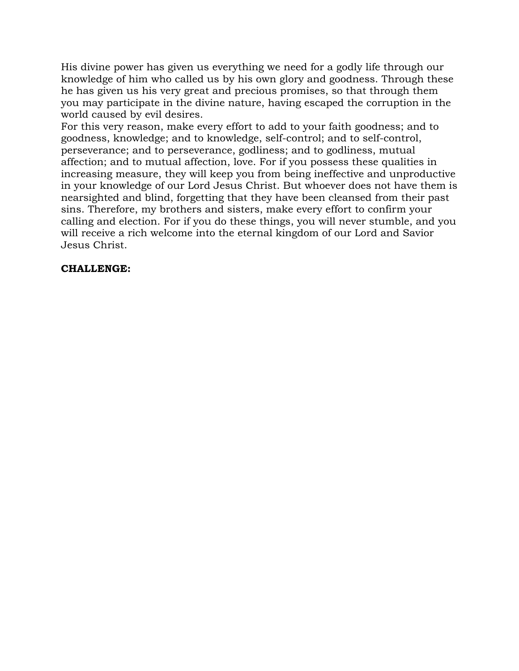His divine power has given us everything we need for a godly life through our knowledge of him who called us by his own glory and goodness. Through these he has given us his very great and precious promises, so that through them you may participate in the divine nature, having escaped the corruption in the world caused by evil desires.

For this very reason, make every effort to add to your faith goodness; and to goodness, knowledge; and to knowledge, self-control; and to self-control, perseverance; and to perseverance, godliness; and to godliness, mutual affection; and to mutual affection, love. For if you possess these qualities in increasing measure, they will keep you from being ineffective and unproductive in your knowledge of our Lord Jesus Christ. But whoever does not have them is nearsighted and blind, forgetting that they have been cleansed from their past sins. Therefore, my brothers and sisters, make every effort to confirm your calling and election. For if you do these things, you will never stumble, and you will receive a rich welcome into the eternal kingdom of our Lord and Savior Jesus Christ.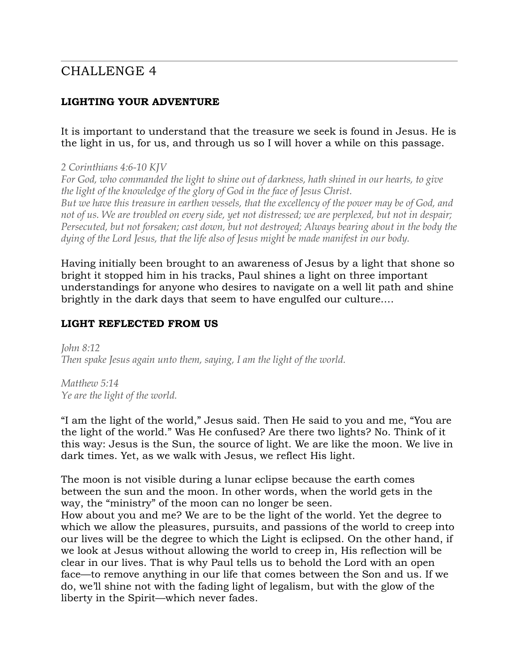# CHALLENGE 4

# **LIGHTING YOUR ADVENTURE**

## It is important to understand that the treasure we seek is found in Jesus. He is the light in us, for us, and through us so I will hover a while on this passage.

#### *2 Corinthians 4:6-10 KJV*

*For God, who commanded the light to shine out of darkness, hath shined in our hearts, to give the light of the knowledge of the glory of God in the face of Jesus Christ. But we have this treasure in earthen vessels, that the excellency of the power may be of God, and not of us. We are troubled on every side, yet not distressed; we are perplexed, but not in despair; Persecuted, but not forsaken; cast down, but not destroyed; Always bearing about in the body the dying of the Lord Jesus, that the life also of Jesus might be made manifest in our body.*

Having initially been brought to an awareness of Jesus by a light that shone so bright it stopped him in his tracks, Paul shines a light on three important understandings for anyone who desires to navigate on a well lit path and shine brightly in the dark days that seem to have engulfed our culture.…

# **LIGHT REFLECTED FROM US**

*John 8:12 Then spake Jesus again unto them, saying, I am the light of the world.*

*Matthew 5:14 Ye are the light of the world.*

"I am the light of the world," Jesus said. Then He said to you and me, "You are the light of the world." Was He confused? Are there two lights? No. Think of it this way: Jesus is the Sun, the source of light. We are like the moon. We live in dark times. Yet, as we walk with Jesus, we reflect His light.

The moon is not visible during a lunar eclipse because the earth comes between the sun and the moon. In other words, when the world gets in the way, the "ministry" of the moon can no longer be seen.

How about you and me? We are to be the light of the world. Yet the degree to which we allow the pleasures, pursuits, and passions of the world to creep into our lives will be the degree to which the Light is eclipsed. On the other hand, if we look at Jesus without allowing the world to creep in, His reflection will be clear in our lives. That is why Paul tells us to behold the Lord with an open face—to remove anything in our life that comes between the Son and us. If we do, we'll shine not with the fading light of legalism, but with the glow of the liberty in the Spirit—which never fades.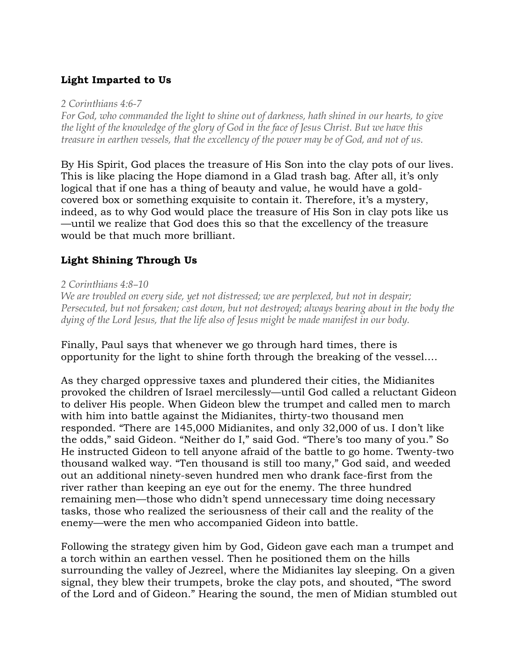# **Light Imparted to Us**

*2 Corinthians 4:6-7* 

*For God, who commanded the light to shine out of darkness, hath shined in our hearts, to give the light of the knowledge of the glory of God in the face of Jesus Christ. But we have this treasure in earthen vessels, that the excellency of the power may be of God, and not of us.* 

By His Spirit, God places the treasure of His Son into the clay pots of our lives. This is like placing the Hope diamond in a Glad trash bag. After all, it's only logical that if one has a thing of beauty and value, he would have a goldcovered box or something exquisite to contain it. Therefore, it's a mystery, indeed, as to why God would place the treasure of His Son in clay pots like us —until we realize that God does this so that the excellency of the treasure would be that much more brilliant.

# **Light Shining Through Us**

#### *2 Corinthians 4:8–10*

*We are troubled on every side, yet not distressed; we are perplexed, but not in despair; Persecuted, but not forsaken; cast down, but not destroyed; always bearing about in the body the dying of the Lord Jesus, that the life also of Jesus might be made manifest in our body.*

Finally, Paul says that whenever we go through hard times, there is opportunity for the light to shine forth through the breaking of the vessel.…

As they charged oppressive taxes and plundered their cities, the Midianites provoked the children of Israel mercilessly—until God called a reluctant Gideon to deliver His people. When Gideon blew the trumpet and called men to march with him into battle against the Midianites, thirty-two thousand men responded. "There are 145,000 Midianites, and only 32,000 of us. I don't like the odds," said Gideon. "Neither do I," said God. "There's too many of you." So He instructed Gideon to tell anyone afraid of the battle to go home. Twenty-two thousand walked way. "Ten thousand is still too many," God said, and weeded out an additional ninety-seven hundred men who drank face-first from the river rather than keeping an eye out for the enemy. The three hundred remaining men—those who didn't spend unnecessary time doing necessary tasks, those who realized the seriousness of their call and the reality of the enemy—were the men who accompanied Gideon into battle.

Following the strategy given him by God, Gideon gave each man a trumpet and a torch within an earthen vessel. Then he positioned them on the hills surrounding the valley of Jezreel, where the Midianites lay sleeping. On a given signal, they blew their trumpets, broke the clay pots, and shouted, "The sword of the Lord and of Gideon." Hearing the sound, the men of Midian stumbled out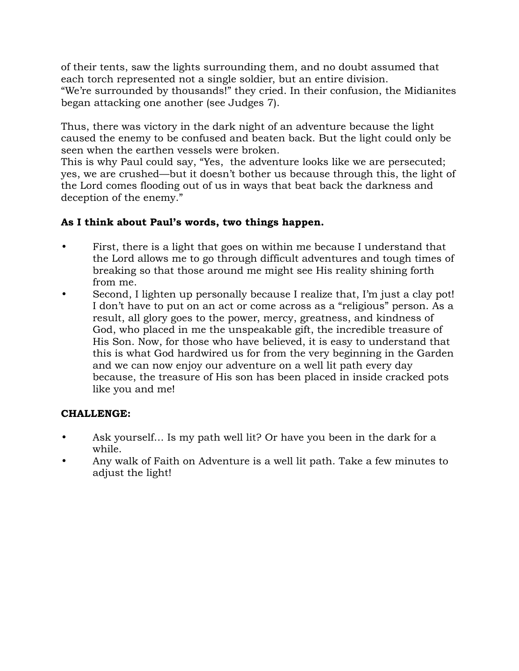of their tents, saw the lights surrounding them, and no doubt assumed that each torch represented not a single soldier, but an entire division. "We're surrounded by thousands!" they cried. In their confusion, the Midianites began attacking one another (see Judges 7).

Thus, there was victory in the dark night of an adventure because the light caused the enemy to be confused and beaten back. But the light could only be seen when the earthen vessels were broken.

This is why Paul could say, "Yes, the adventure looks like we are persecuted; yes, we are crushed—but it doesn't bother us because through this, the light of the Lord comes flooding out of us in ways that beat back the darkness and deception of the enemy."

# **As I think about Paul's words, two things happen.**

- First, there is a light that goes on within me because I understand that the Lord allows me to go through difficult adventures and tough times of breaking so that those around me might see His reality shining forth from me.
- Second, I lighten up personally because I realize that, I'm just a clay pot! I don't have to put on an act or come across as a "religious" person. As a result, all glory goes to the power, mercy, greatness, and kindness of God, who placed in me the unspeakable gift, the incredible treasure of His Son. Now, for those who have believed, it is easy to understand that this is what God hardwired us for from the very beginning in the Garden and we can now enjoy our adventure on a well lit path every day because, the treasure of His son has been placed in inside cracked pots like you and me!

- Ask yourself... Is my path well lit? Or have you been in the dark for a while.
- Any walk of Faith on Adventure is a well lit path. Take a few minutes to adjust the light!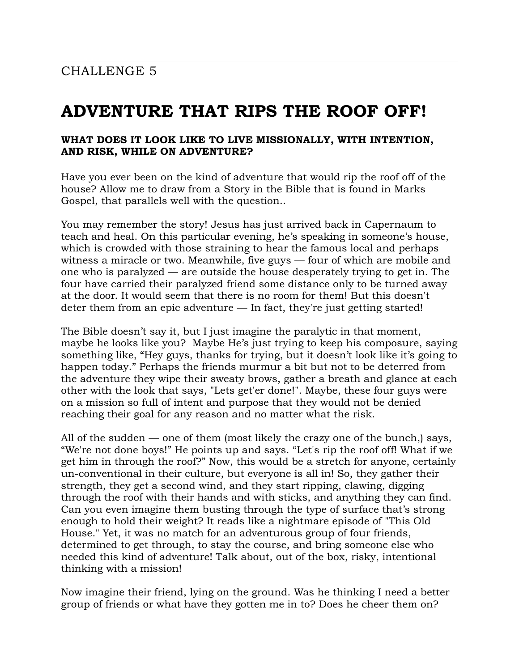# **ADVENTURE THAT RIPS THE ROOF OFF!**

## **WHAT DOES IT LOOK LIKE TO LIVE MISSIONALLY, WITH INTENTION, AND RISK, WHILE ON ADVENTURE?**

Have you ever been on the kind of adventure that would rip the roof off of the house? Allow me to draw from a Story in the Bible that is found in Marks Gospel, that parallels well with the question..

You may remember the story! Jesus has just arrived back in Capernaum to teach and heal. On this particular evening, he's speaking in someone's house, which is crowded with those straining to hear the famous local and perhaps witness a miracle or two. Meanwhile, five guys — four of which are mobile and one who is paralyzed — are outside the house desperately trying to get in. The four have carried their paralyzed friend some distance only to be turned away at the door. It would seem that there is no room for them! But this doesn't deter them from an epic adventure  $-$  In fact, they're just getting started!

The Bible doesn't say it, but I just imagine the paralytic in that moment, maybe he looks like you? Maybe He's just trying to keep his composure, saying something like, "Hey guys, thanks for trying, but it doesn't look like it's going to happen today." Perhaps the friends murmur a bit but not to be deterred from the adventure they wipe their sweaty brows, gather a breath and glance at each other with the look that says, "Lets get'er done!". Maybe, these four guys were on a mission so full of intent and purpose that they would not be denied reaching their goal for any reason and no matter what the risk.

All of the sudden — one of them (most likely the crazy one of the bunch,) says, "We're not done boys!" He points up and says. "Let's rip the roof off! What if we get him in through the roof?" Now, this would be a stretch for anyone, certainly un-conventional in their culture, but everyone is all in! So, they gather their strength, they get a second wind, and they start ripping, clawing, digging through the roof with their hands and with sticks, and anything they can find. Can you even imagine them busting through the type of surface that's strong enough to hold their weight? It reads like a nightmare episode of "This Old House." Yet, it was no match for an adventurous group of four friends, determined to get through, to stay the course, and bring someone else who needed this kind of adventure! Talk about, out of the box, risky, intentional thinking with a mission!

Now imagine their friend, lying on the ground. Was he thinking I need a better group of friends or what have they gotten me in to? Does he cheer them on?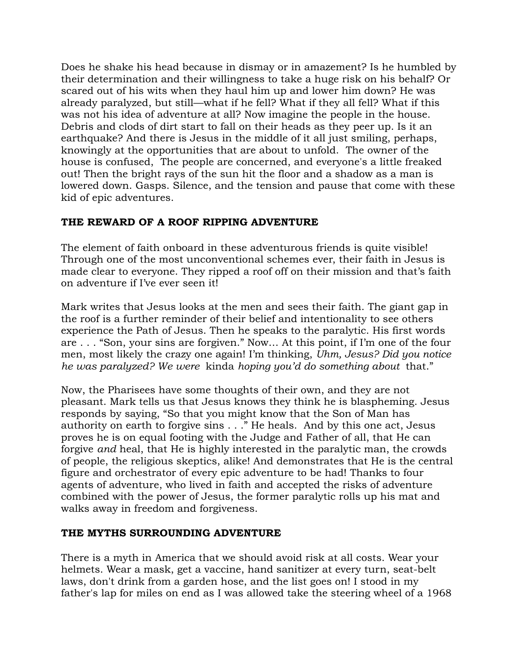Does he shake his head because in dismay or in amazement? Is he humbled by their determination and their willingness to take a huge risk on his behalf? Or scared out of his wits when they haul him up and lower him down? He was already paralyzed, but still—what if he fell? What if they all fell? What if this was not his idea of adventure at all? Now imagine the people in the house. Debris and clods of dirt start to fall on their heads as they peer up. Is it an earthquake? And there is Jesus in the middle of it all just smiling, perhaps, knowingly at the opportunities that are about to unfold. The owner of the house is confused, The people are concerned, and everyone's a little freaked out! Then the bright rays of the sun hit the floor and a shadow as a man is lowered down. Gasps. Silence, and the tension and pause that come with these kid of epic adventures.

# **THE REWARD OF A ROOF RIPPING ADVENTURE**

The element of faith onboard in these adventurous friends is quite visible! Through one of the most unconventional schemes ever, their faith in Jesus is made clear to everyone. They ripped a roof off on their mission and that's faith on adventure if I've ever seen it!

Mark writes that Jesus looks at the men and sees their faith. The giant gap in the roof is a further reminder of their belief and intentionality to see others experience the Path of Jesus. Then he speaks to the paralytic. His first words are . . . "Son, your sins are forgiven." Now… At this point, if I'm one of the four men, most likely the crazy one again! I'm thinking, *Uhm, Jesus? Did you notice he was paralyzed? We were* kinda *hoping you'd do something about* that."

Now, the Pharisees have some thoughts of their own, and they are not pleasant. Mark tells us that Jesus knows they think he is blaspheming. Jesus responds by saying, "So that you might know that the Son of Man has authority on earth to forgive sins . . ." He heals. And by this one act, Jesus proves he is on equal footing with the Judge and Father of all, that He can forgive *and* heal, that He is highly interested in the paralytic man, the crowds of people, the religious skeptics, alike! And demonstrates that He is the central figure and orchestrator of every epic adventure to be had! Thanks to four agents of adventure, who lived in faith and accepted the risks of adventure combined with the power of Jesus, the former paralytic rolls up his mat and walks away in freedom and forgiveness.

## **THE MYTHS SURROUNDING ADVENTURE**

There is a myth in America that we should avoid risk at all costs. Wear your helmets. Wear a mask, get a vaccine, hand sanitizer at every turn, seat-belt laws, don't drink from a garden hose, and the list goes on! I stood in my father's lap for miles on end as I was allowed take the steering wheel of a 1968